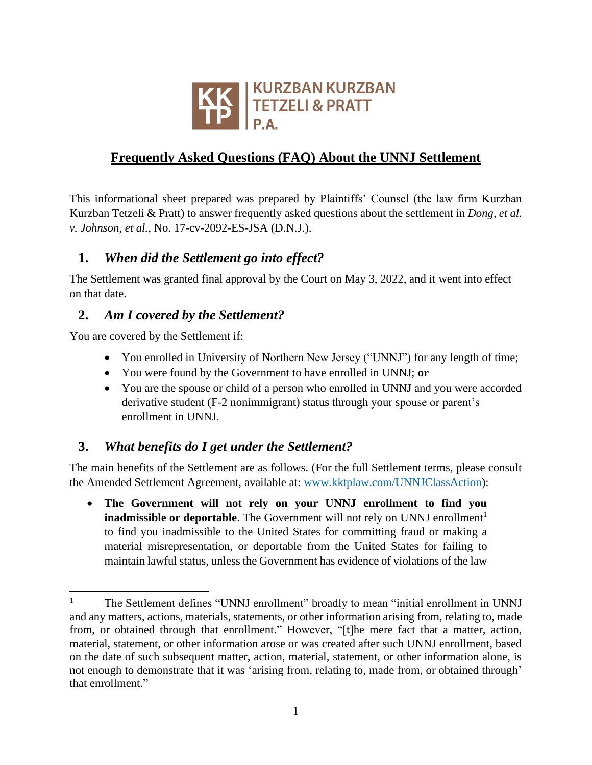

# **Frequently Asked Questions (FAQ) About the UNNJ Settlement**

This informational sheet prepared was prepared by Plaintiffs' Counsel (the law firm Kurzban Kurzban Tetzeli & Pratt) to answer frequently asked questions about the settlement in *Dong, et al. v. Johnson, et al.*, No. 17-cv-2092-ES-JSA (D.N.J.).

### **1.** *When did the Settlement go into effect?*

The Settlement was granted final approval by the Court on May 3, 2022, and it went into effect on that date.

### **2.** *Am I covered by the Settlement?*

You are covered by the Settlement if:

- You enrolled in University of Northern New Jersey ("UNNJ") for any length of time;
- You were found by the Government to have enrolled in UNNJ; **or**
- You are the spouse or child of a person who enrolled in UNNJ and you were accorded derivative student (F-2 nonimmigrant) status through your spouse or parent's enrollment in UNNJ.

### **3.** *What benefits do I get under the Settlement?*

The main benefits of the Settlement are as follows. (For the full Settlement terms, please consult the Amended Settlement Agreement, available at: [www.kktplaw.com/UNNJClassAction\)](http://www.kktplaw.com/UNNJClassAction):

• **The Government will not rely on your UNNJ enrollment to find you inadmissible or deportable**. The Government will not rely on UNNJ enrollment<sup>1</sup> to find you inadmissible to the United States for committing fraud or making a material misrepresentation, or deportable from the United States for failing to maintain lawful status, unless the Government has evidence of violations of the law

<sup>&</sup>lt;sup>1</sup> The Settlement defines "UNNJ enrollment" broadly to mean "initial enrollment in UNNJ and any matters, actions, materials, statements, or other information arising from, relating to, made from, or obtained through that enrollment." However, "[t]he mere fact that a matter, action, material, statement, or other information arose or was created after such UNNJ enrollment, based on the date of such subsequent matter, action, material, statement, or other information alone, is not enough to demonstrate that it was 'arising from, relating to, made from, or obtained through' that enrollment."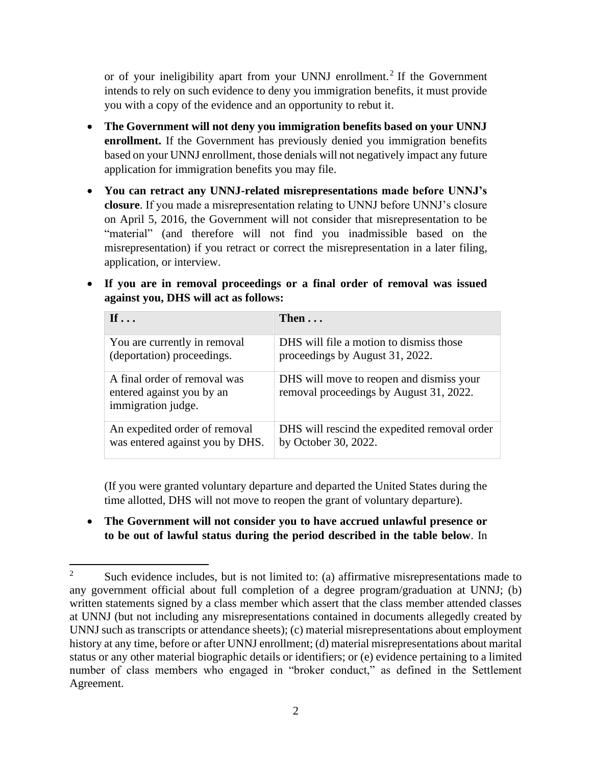or of your ineligibility apart from your UNNJ enrollment. 2 If the Government intends to rely on such evidence to deny you immigration benefits, it must provide you with a copy of the evidence and an opportunity to rebut it.

- **The Government will not deny you immigration benefits based on your UNNJ enrollment.** If the Government has previously denied you immigration benefits based on your UNNJ enrollment, those denials will not negatively impact any future application for immigration benefits you may file.
- **You can retract any UNNJ-related misrepresentations made before UNNJ's closure**. If you made a misrepresentation relating to UNNJ before UNNJ's closure on April 5, 2016, the Government will not consider that misrepresentation to be "material" (and therefore will not find you inadmissible based on the misrepresentation) if you retract or correct the misrepresentation in a later filing, application, or interview.
- **If you are in removal proceedings or a final order of removal was issued against you, DHS will act as follows:**

| If $\ldots$                                                                     | Then $\ldots$                                                                       |
|---------------------------------------------------------------------------------|-------------------------------------------------------------------------------------|
| You are currently in removal                                                    | DHS will file a motion to dismiss those                                             |
| (deportation) proceedings.                                                      | proceedings by August 31, 2022.                                                     |
| A final order of removal was<br>entered against you by an<br>immigration judge. | DHS will move to reopen and dismiss your<br>removal proceedings by August 31, 2022. |
| An expedited order of removal                                                   | DHS will rescind the expedited removal order                                        |
| was entered against you by DHS.                                                 | by October 30, 2022.                                                                |

(If you were granted voluntary departure and departed the United States during the time allotted, DHS will not move to reopen the grant of voluntary departure).

• **The Government will not consider you to have accrued unlawful presence or to be out of lawful status during the period described in the table below**. In

<sup>&</sup>lt;sup>2</sup> Such evidence includes, but is not limited to: (a) affirmative misrepresentations made to any government official about full completion of a degree program/graduation at UNNJ; (b) written statements signed by a class member which assert that the class member attended classes at UNNJ (but not including any misrepresentations contained in documents allegedly created by UNNJ such as transcripts or attendance sheets); (c) material misrepresentations about employment history at any time, before or after UNNJ enrollment; (d) material misrepresentations about marital status or any other material biographic details or identifiers; or (e) evidence pertaining to a limited number of class members who engaged in "broker conduct," as defined in the Settlement Agreement.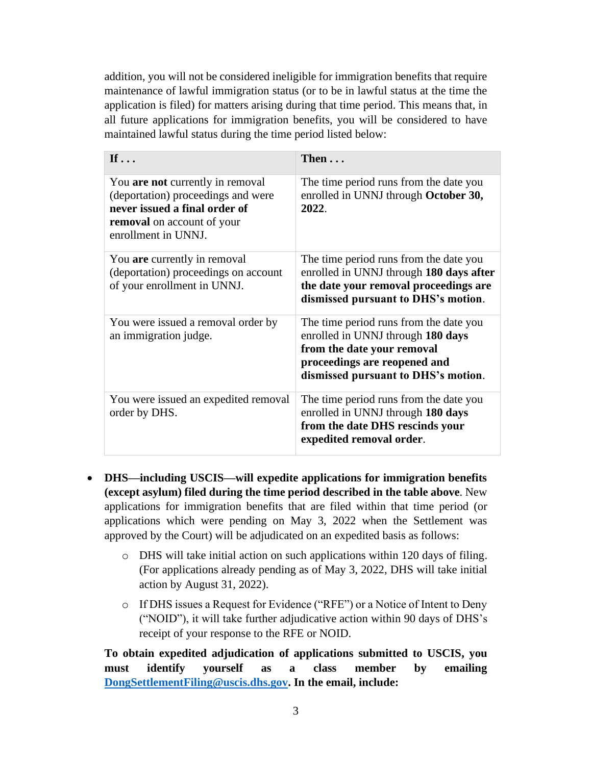addition, you will not be considered ineligible for immigration benefits that require maintenance of lawful immigration status (or to be in lawful status at the time the application is filed) for matters arising during that time period. This means that, in all future applications for immigration benefits, you will be considered to have maintained lawful status during the time period listed below:

| If $\ldots$                                                                                                                                                                | Then                                                                                                                                                                             |
|----------------------------------------------------------------------------------------------------------------------------------------------------------------------------|----------------------------------------------------------------------------------------------------------------------------------------------------------------------------------|
| You <b>are not</b> currently in removal<br>(deportation) proceedings and were<br>never issued a final order of<br><b>removal</b> on account of your<br>enrollment in UNNJ. | The time period runs from the date you<br>enrolled in UNNJ through October 30,<br>2022.                                                                                          |
| You are currently in removal<br>(deportation) proceedings on account<br>of your enrollment in UNNJ.                                                                        | The time period runs from the date you<br>enrolled in UNNJ through 180 days after<br>the date your removal proceedings are<br>dismissed pursuant to DHS's motion.                |
| You were issued a removal order by<br>an immigration judge.                                                                                                                | The time period runs from the date you<br>enrolled in UNNJ through 180 days<br>from the date your removal<br>proceedings are reopened and<br>dismissed pursuant to DHS's motion. |
| You were issued an expedited removal<br>order by DHS.                                                                                                                      | The time period runs from the date you<br>enrolled in UNNJ through 180 days<br>from the date DHS rescinds your<br>expedited removal order.                                       |

- **DHS—including USCIS—will expedite applications for immigration benefits (except asylum) filed during the time period described in the table above**. New applications for immigration benefits that are filed within that time period (or applications which were pending on May 3, 2022 when the Settlement was approved by the Court) will be adjudicated on an expedited basis as follows:
	- o DHS will take initial action on such applications within 120 days of filing. (For applications already pending as of May 3, 2022, DHS will take initial action by August 31, 2022).
	- o If DHS issues a Request for Evidence ("RFE") or a Notice of Intent to Deny ("NOID"), it will take further adjudicative action within 90 days of DHS's receipt of your response to the RFE or NOID.

**To obtain expedited adjudication of applications submitted to USCIS, you must identify yourself as a class member by emailing [DongSettlementFiling@uscis.dhs.gov.](mailto:DongSettlementFiling@uscis.dhs.gov) In the email, include:**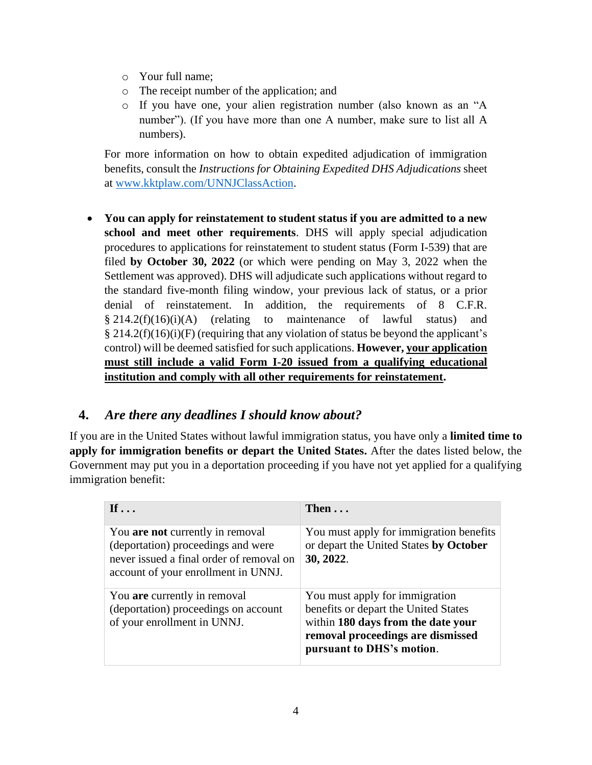- o Your full name;
- o The receipt number of the application; and
- o If you have one, your alien registration number (also known as an "A number"). (If you have more than one A number, make sure to list all A numbers).

For more information on how to obtain expedited adjudication of immigration benefits, consult the *Instructions for Obtaining Expedited DHS Adjudications* sheet at [www.kktplaw.com/UNNJClassAction.](http://www.kktplaw.com/UNNJClassAction)

• **You can apply for reinstatement to student status if you are admitted to a new school and meet other requirements**. DHS will apply special adjudication procedures to applications for reinstatement to student status (Form I-539) that are filed **by October 30, 2022** (or which were pending on May 3, 2022 when the Settlement was approved). DHS will adjudicate such applications without regard to the standard five-month filing window, your previous lack of status, or a prior denial of reinstatement. In addition, the requirements of 8 C.F.R.  $§$  214.2(f)(16)(i)(A) (relating to maintenance of lawful status) and  $\S 214.2(f)(16)(i)$  (requiring that any violation of status be beyond the applicant's control) will be deemed satisfied for such applications. **However, your application must still include a valid Form I-20 issued from a qualifying educational institution and comply with all other requirements for reinstatement.**

### **4.** *Are there any deadlines I should know about?*

If you are in the United States without lawful immigration status, you have only a **limited time to apply for immigration benefits or depart the United States.** After the dates listed below, the Government may put you in a deportation proceeding if you have not yet applied for a qualifying immigration benefit:

| If $\ldots$                                                                                                                                               | Then $\ldots$                                                                                                                                                                  |
|-----------------------------------------------------------------------------------------------------------------------------------------------------------|--------------------------------------------------------------------------------------------------------------------------------------------------------------------------------|
| You are not currently in removal<br>(deportation) proceedings and were<br>never issued a final order of removal on<br>account of your enrollment in UNNJ. | You must apply for immigration benefits<br>or depart the United States by October<br>30, 2022.                                                                                 |
| You are currently in removal<br>(deportation) proceedings on account<br>of your enrollment in UNNJ.                                                       | You must apply for immigration<br>benefits or depart the United States<br>within 180 days from the date your<br>removal proceedings are dismissed<br>pursuant to DHS's motion. |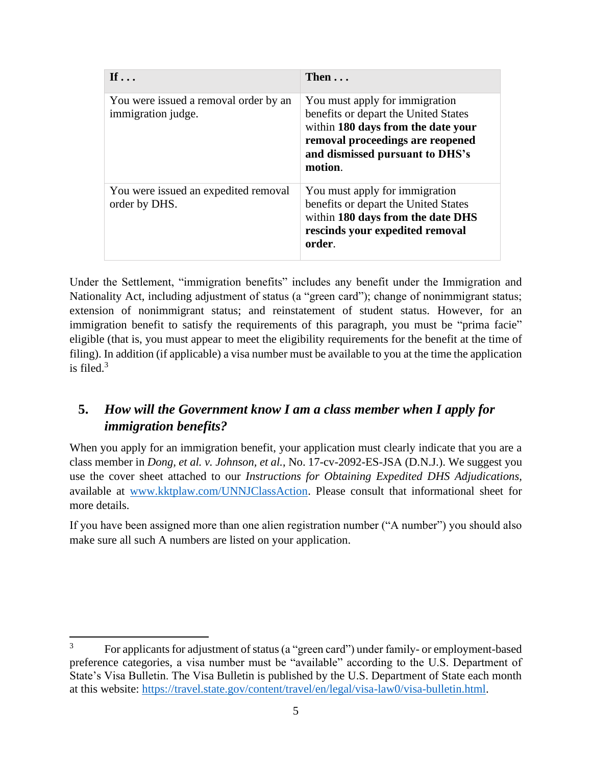| If $\ldots$                                                 | Then $\ldots$                                                                                                                                                                                  |
|-------------------------------------------------------------|------------------------------------------------------------------------------------------------------------------------------------------------------------------------------------------------|
| You were issued a removal order by an<br>immigration judge. | You must apply for immigration<br>benefits or depart the United States<br>within 180 days from the date your<br>removal proceedings are reopened<br>and dismissed pursuant to DHS's<br>motion. |
| You were issued an expedited removal<br>order by DHS.       | You must apply for immigration<br>benefits or depart the United States<br>within 180 days from the date DHS<br>rescinds your expedited removal<br>order.                                       |

Under the Settlement, "immigration benefits" includes any benefit under the Immigration and Nationality Act, including adjustment of status (a "green card"); change of nonimmigrant status; extension of nonimmigrant status; and reinstatement of student status. However, for an immigration benefit to satisfy the requirements of this paragraph, you must be "prima facie" eligible (that is, you must appear to meet the eligibility requirements for the benefit at the time of filing). In addition (if applicable) a visa number must be available to you at the time the application is filed. 3

# **5.** *How will the Government know I am a class member when I apply for immigration benefits?*

When you apply for an immigration benefit, your application must clearly indicate that you are a class member in *Dong, et al. v. Johnson, et al.*, No. 17-cv-2092-ES-JSA (D.N.J.). We suggest you use the cover sheet attached to our *Instructions for Obtaining Expedited DHS Adjudications*, available at [www.kktplaw.com/UNNJClassAction.](http://www.kktplaw.com/UNNJClassAction) Please consult that informational sheet for more details.

If you have been assigned more than one alien registration number ("A number") you should also make sure all such A numbers are listed on your application.

<sup>&</sup>lt;sup>3</sup> For applicants for adjustment of status (a "green card") under family- or employment-based preference categories, a visa number must be "available" according to the U.S. Department of State's Visa Bulletin. The Visa Bulletin is published by the U.S. Department of State each month at this website: [https://travel.state.gov/content/travel/en/legal/visa-law0/visa-bulletin.html.](https://travel.state.gov/content/travel/en/legal/visa-law0/visa-bulletin.html)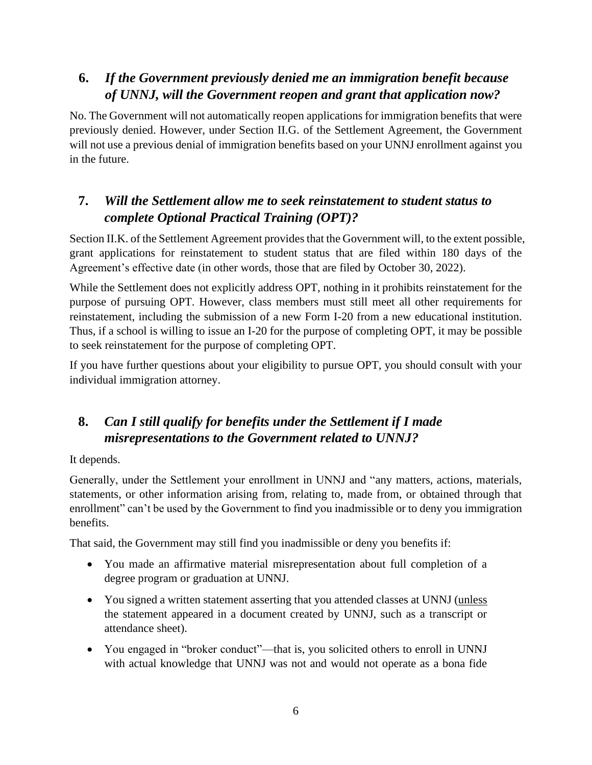# **6.** *If the Government previously denied me an immigration benefit because of UNNJ, will the Government reopen and grant that application now?*

No. The Government will not automatically reopen applications for immigration benefits that were previously denied. However, under Section II.G. of the Settlement Agreement, the Government will not use a previous denial of immigration benefits based on your UNNJ enrollment against you in the future.

# **7.** *Will the Settlement allow me to seek reinstatement to student status to complete Optional Practical Training (OPT)?*

Section II.K. of the Settlement Agreement provides that the Government will, to the extent possible, grant applications for reinstatement to student status that are filed within 180 days of the Agreement's effective date (in other words, those that are filed by October 30, 2022).

While the Settlement does not explicitly address OPT, nothing in it prohibits reinstatement for the purpose of pursuing OPT. However, class members must still meet all other requirements for reinstatement, including the submission of a new Form I-20 from a new educational institution. Thus, if a school is willing to issue an I-20 for the purpose of completing OPT, it may be possible to seek reinstatement for the purpose of completing OPT.

If you have further questions about your eligibility to pursue OPT, you should consult with your individual immigration attorney.

# **8.** *Can I still qualify for benefits under the Settlement if I made misrepresentations to the Government related to UNNJ?*

#### It depends.

Generally, under the Settlement your enrollment in UNNJ and "any matters, actions, materials, statements, or other information arising from, relating to, made from, or obtained through that enrollment" can't be used by the Government to find you inadmissible or to deny you immigration benefits.

That said, the Government may still find you inadmissible or deny you benefits if:

- You made an affirmative material misrepresentation about full completion of a degree program or graduation at UNNJ.
- You signed a written statement asserting that you attended classes at UNNJ (unless the statement appeared in a document created by UNNJ, such as a transcript or attendance sheet).
- You engaged in "broker conduct"—that is, you solicited others to enroll in UNNJ with actual knowledge that UNNJ was not and would not operate as a bona fide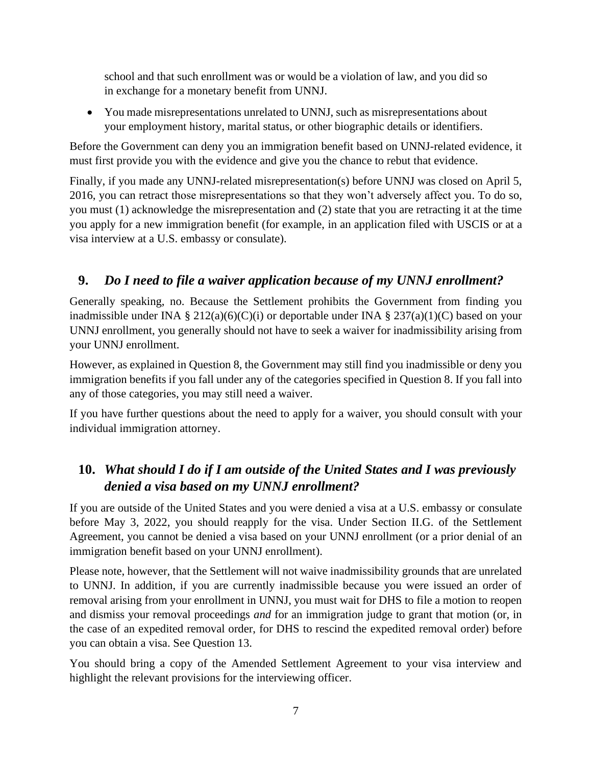school and that such enrollment was or would be a violation of law, and you did so in exchange for a monetary benefit from UNNJ.

• You made misrepresentations unrelated to UNNJ, such as misrepresentations about your employment history, marital status, or other biographic details or identifiers.

Before the Government can deny you an immigration benefit based on UNNJ-related evidence, it must first provide you with the evidence and give you the chance to rebut that evidence.

Finally, if you made any UNNJ-related misrepresentation(s) before UNNJ was closed on April 5, 2016, you can retract those misrepresentations so that they won't adversely affect you. To do so, you must (1) acknowledge the misrepresentation and (2) state that you are retracting it at the time you apply for a new immigration benefit (for example, in an application filed with USCIS or at a visa interview at a U.S. embassy or consulate).

# **9.** *Do I need to file a waiver application because of my UNNJ enrollment?*

Generally speaking, no. Because the Settlement prohibits the Government from finding you inadmissible under INA § 212(a)(6)(C)(i) or deportable under INA § 237(a)(1)(C) based on your UNNJ enrollment, you generally should not have to seek a waiver for inadmissibility arising from your UNNJ enrollment.

However, as explained in Question 8, the Government may still find you inadmissible or deny you immigration benefits if you fall under any of the categories specified in Question 8. If you fall into any of those categories, you may still need a waiver.

If you have further questions about the need to apply for a waiver, you should consult with your individual immigration attorney.

# **10.** *What should I do if I am outside of the United States and I was previously denied a visa based on my UNNJ enrollment?*

If you are outside of the United States and you were denied a visa at a U.S. embassy or consulate before May 3, 2022, you should reapply for the visa. Under Section II.G. of the Settlement Agreement, you cannot be denied a visa based on your UNNJ enrollment (or a prior denial of an immigration benefit based on your UNNJ enrollment).

Please note, however, that the Settlement will not waive inadmissibility grounds that are unrelated to UNNJ. In addition, if you are currently inadmissible because you were issued an order of removal arising from your enrollment in UNNJ, you must wait for DHS to file a motion to reopen and dismiss your removal proceedings *and* for an immigration judge to grant that motion (or, in the case of an expedited removal order, for DHS to rescind the expedited removal order) before you can obtain a visa. See Question 13.

You should bring a copy of the Amended Settlement Agreement to your visa interview and highlight the relevant provisions for the interviewing officer.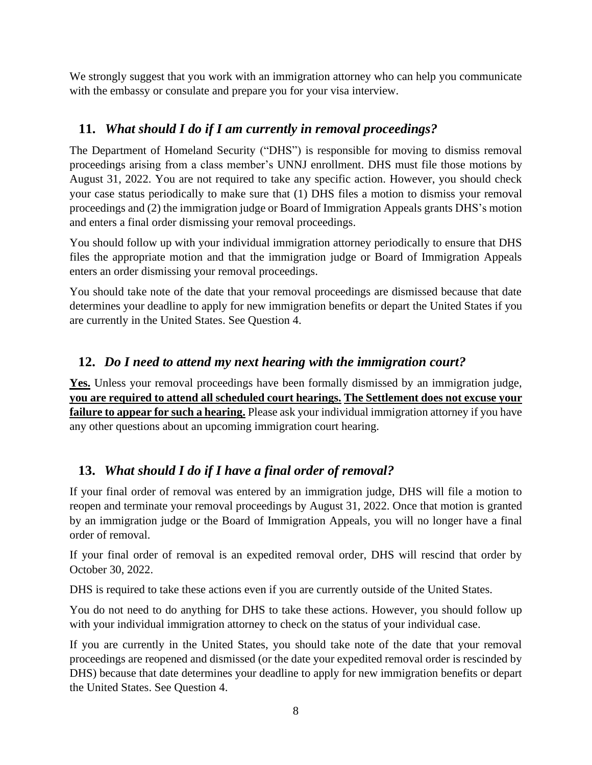We strongly suggest that you work with an immigration attorney who can help you communicate with the embassy or consulate and prepare you for your visa interview.

## **11.** *What should I do if I am currently in removal proceedings?*

The Department of Homeland Security ("DHS") is responsible for moving to dismiss removal proceedings arising from a class member's UNNJ enrollment. DHS must file those motions by August 31, 2022. You are not required to take any specific action. However, you should check your case status periodically to make sure that (1) DHS files a motion to dismiss your removal proceedings and (2) the immigration judge or Board of Immigration Appeals grants DHS's motion and enters a final order dismissing your removal proceedings.

You should follow up with your individual immigration attorney periodically to ensure that DHS files the appropriate motion and that the immigration judge or Board of Immigration Appeals enters an order dismissing your removal proceedings.

You should take note of the date that your removal proceedings are dismissed because that date determines your deadline to apply for new immigration benefits or depart the United States if you are currently in the United States. See Question 4.

## **12.** *Do I need to attend my next hearing with the immigration court?*

**Yes.** Unless your removal proceedings have been formally dismissed by an immigration judge, **you are required to attend all scheduled court hearings. The Settlement does not excuse your failure to appear for such a hearing.** Please ask your individual immigration attorney if you have any other questions about an upcoming immigration court hearing.

## **13.** *What should I do if I have a final order of removal?*

If your final order of removal was entered by an immigration judge, DHS will file a motion to reopen and terminate your removal proceedings by August 31, 2022. Once that motion is granted by an immigration judge or the Board of Immigration Appeals, you will no longer have a final order of removal.

If your final order of removal is an expedited removal order, DHS will rescind that order by October 30, 2022.

DHS is required to take these actions even if you are currently outside of the United States.

You do not need to do anything for DHS to take these actions. However, you should follow up with your individual immigration attorney to check on the status of your individual case.

If you are currently in the United States, you should take note of the date that your removal proceedings are reopened and dismissed (or the date your expedited removal order is rescinded by DHS) because that date determines your deadline to apply for new immigration benefits or depart the United States. See Question 4.